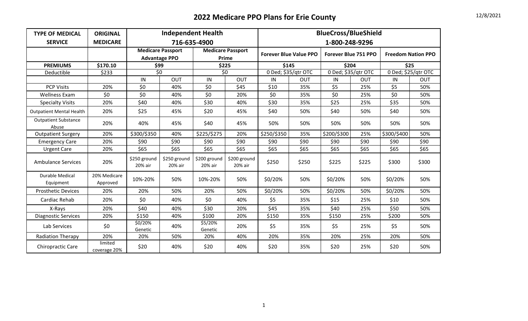| <b>TYPE OF MEDICAL</b>               | <b>ORIGINAL</b>          |                         |                                                  | <b>Independent Health</b> |                                   | <b>BlueCross/BlueShield</b> |                               |                      |            |                           |            |  |
|--------------------------------------|--------------------------|-------------------------|--------------------------------------------------|---------------------------|-----------------------------------|-----------------------------|-------------------------------|----------------------|------------|---------------------------|------------|--|
| <b>SERVICE</b>                       | <b>MEDICARE</b>          |                         |                                                  | 716-635-4900              |                                   |                             |                               | 1-800-248-9296       |            |                           |            |  |
|                                      |                          |                         | <b>Medicare Passport</b><br><b>Advantage PPO</b> |                           | <b>Medicare Passport</b><br>Prime |                             | <b>Forever Blue Value PPO</b> | Forever Blue 751 PPO |            | <b>Freedom Nation PPO</b> |            |  |
| <b>PREMIUMS</b>                      | \$170.10                 |                         | \$99                                             | \$225                     |                                   | \$145                       |                               | \$204                |            | \$25                      |            |  |
| Deductible                           | \$233                    |                         | $\overline{50}$                                  |                           | 50                                |                             | 0 Ded; \$35/qtr OTC           | 0 Ded; \$35/qtr OTC  |            | 0 Ded; \$25/qtr OTC       |            |  |
|                                      |                          | IN                      | OUT                                              | IN                        | OUT                               | IN                          | <b>OUT</b>                    | IN                   | <b>OUT</b> | IN                        | <b>OUT</b> |  |
| <b>PCP Visits</b>                    | 20%                      | \$0                     | 40%                                              | \$0                       | \$45                              | \$10                        | 35%                           | \$5                  | 25%        | \$5                       | 50%        |  |
| <b>Wellness Exam</b>                 | \$0                      | \$0                     | 40%                                              | \$0                       | 20%                               | \$0                         | 35%                           | \$0                  | 25%        | \$0                       | 50%        |  |
| <b>Specialty Visits</b>              | 20%                      | \$40                    | 40%                                              | \$30                      | 40%                               | \$30                        | 35%                           | \$25                 | 25%        | \$35                      | 50%        |  |
| <b>Outpatient Mental Health</b>      | 20%                      | \$25                    | 45%                                              | \$20                      | 45%                               | \$40                        | 50%                           | \$40                 | 50%        | \$40                      | 50%        |  |
| <b>Outpatient Substance</b><br>Abuse | 20%                      | 40%                     | 45%                                              | \$40                      | 45%                               | 50%                         | 50%                           | 50%                  | 50%        | 50%                       | 50%        |  |
| <b>Outpatient Surgery</b>            | 20%                      | \$300/\$350             | 40%                                              | \$225/\$275               | 20%                               | \$250/\$350                 | 35%                           | \$200/\$300          | 25%        | \$300/\$400               | 50%        |  |
| <b>Emergency Care</b>                | 20%                      | \$90                    | \$90                                             | \$90                      | \$90                              | \$90                        | \$90                          | \$90                 | \$90       | \$90                      | \$90       |  |
| <b>Urgent Care</b>                   | 20%                      | \$65                    | \$65                                             | \$65                      | \$65                              | \$65                        | \$65                          | \$65                 | \$65       | \$65                      | \$65       |  |
| <b>Ambulance Services</b>            | 20%                      | \$250 ground<br>20% air | \$250 ground<br>20% air                          | \$200 ground<br>20% air   | \$200 ground<br>20% air           | \$250                       | \$250                         | \$225                | \$225      | \$300                     | \$300      |  |
| <b>Durable Medical</b><br>Equipment  | 20% Medicare<br>Approved | 10%-20%                 | 50%                                              | 10%-20%                   | 50%                               | \$0/20%                     | 50%                           | \$0/20%              | 50%        | \$0/20%                   | 50%        |  |
| <b>Prosthetic Devices</b>            | 20%                      | 20%                     | 50%                                              | 20%                       | 50%                               | \$0/20%                     | 50%                           | \$0/20%              | 50%        | \$0/20%                   | 50%        |  |
| Cardiac Rehab                        | 20%                      | \$0                     | 40%                                              | \$0                       | 40%                               | \$5                         | 35%                           | \$15                 | 25%        | \$10                      | 50%        |  |
| X-Rays                               | 20%                      | \$40                    | 40%                                              | \$30                      | 20%                               | \$45                        | 35%                           | \$40                 | 25%        | \$50                      | 50%        |  |
| <b>Diagnostic Services</b>           | 20%                      | \$150                   | 40%                                              | \$100                     | 20%                               | \$150                       | 35%                           | \$150                | 25%        | \$200                     | 50%        |  |
| Lab Services                         | \$0                      | \$0/20%<br>Genetic      | 40%                                              | \$5/20%<br>Genetic        | 20%                               | \$5                         | 35%                           | \$5                  | 25%        | \$5                       | 50%        |  |
| <b>Radiation Therapy</b>             | 20%                      | 20%                     | 50%                                              | 20%                       | 40%                               | 20%                         | 35%                           | 20%                  | 25%        | 20%                       | 50%        |  |
| Chiropractic Care                    | limited<br>coverage 20%  | \$20                    | 40%                                              | \$20                      | 40%                               | \$20                        | 35%                           | \$20                 | 25%        | \$20                      | 50%        |  |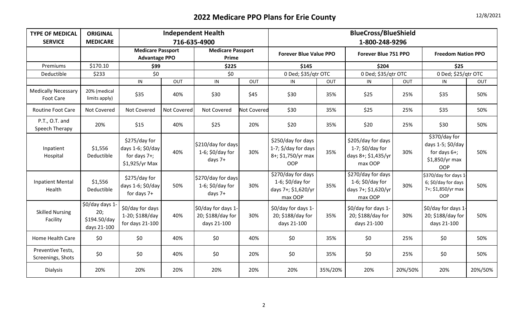| 12/8/2021 |  |
|-----------|--|
|-----------|--|

| <b>TYPE OF MEDICAL</b><br><b>SERVICE</b>       | <b>ORIGINAL</b><br><b>MEDICARE</b>                   | <b>Independent Health</b><br>716-635-4900                               |                    |                                                         |                    | <b>BlueCross/BlueShield</b><br>1-800-248-9296                                  |         |                                                                             |         |                                                                                       |         |  |
|------------------------------------------------|------------------------------------------------------|-------------------------------------------------------------------------|--------------------|---------------------------------------------------------|--------------------|--------------------------------------------------------------------------------|---------|-----------------------------------------------------------------------------|---------|---------------------------------------------------------------------------------------|---------|--|
|                                                |                                                      | <b>Medicare Passport</b><br><b>Advantage PPO</b>                        |                    | <b>Medicare Passport</b><br>Prime                       |                    | <b>Forever Blue Value PPO</b>                                                  |         | Forever Blue 751 PPO                                                        |         | <b>Freedom Nation PPO</b>                                                             |         |  |
| Premiums                                       | \$170.10                                             | \$99                                                                    |                    | \$225                                                   |                    | \$145                                                                          |         | \$204                                                                       |         | \$25                                                                                  |         |  |
| Deductible                                     | \$233                                                | \$0                                                                     |                    | \$0                                                     |                    | 0 Ded; \$35/qtr OTC                                                            |         | 0 Ded; \$35/qtr OTC                                                         |         | 0 Ded; \$25/qtr OTC                                                                   |         |  |
|                                                |                                                      | IN                                                                      | OUT                | IN                                                      | OUT                | IN                                                                             | OUT     | IN                                                                          | OUT     | IN                                                                                    | OUT     |  |
| <b>Medically Necessary</b><br><b>Foot Care</b> | 20% (medical<br>limits apply)                        | \$35                                                                    | 40%                | \$30                                                    | \$45               | \$30                                                                           | 35%     | \$25                                                                        | 25%     | \$35                                                                                  | 50%     |  |
| <b>Routine Foot Care</b>                       | Not Covered                                          | Not Covered                                                             | <b>Not Covered</b> | <b>Not Covered</b>                                      | <b>Not Covered</b> | \$30                                                                           | 35%     | \$25                                                                        | 25%     | \$35                                                                                  | 50%     |  |
| P.T., O.T. and<br>Speech Therapy               | 20%                                                  | \$15                                                                    | 40%                | \$25                                                    | 20%                | \$20                                                                           | 35%     | \$20                                                                        | 25%     | \$30                                                                                  | 50%     |  |
| Inpatient<br>Hospital                          | \$1,556<br>Deductible                                | \$275/day for<br>days 1-6; \$0/day<br>for days $7+$ ;<br>\$1,925/yr Max | 40%                | \$210/day for days<br>1-6; \$0/day for<br>days $7+$     | 30%                | \$250/day for days<br>1-7; \$/day for days<br>8+; \$1,750/yr max<br><b>OOP</b> | 35%     | \$205/day for days<br>$1-7$ ; \$0/day for<br>days 8+; \$1,435/yr<br>max OOP | 30%     | \$370/day for<br>days 1-5; \$0/day<br>for days $6+$ ;<br>\$1,850/yr max<br><b>OOP</b> | 50%     |  |
| <b>Inpatient Mental</b><br>Health              | \$1,556<br>Deductible                                | \$275/day for<br>days 1-6; \$0/day<br>for days $7+$                     | 50%                | \$270/day for days<br>1-6; $$0$ /day for<br>days $7+$   | 30%                | \$270/day for days<br>1-6; \$0/day for<br>days 7+; \$1,620/yr<br>max OOP       | 35%     | \$270/day for days<br>1-6; $$0$ /day for<br>days 7+; \$1,620/yr<br>max OOP  | 30%     | \$370/day for days 1-<br>6; \$0/day for days<br>7+; \$1,850/yr max<br><b>OOP</b>      | 50%     |  |
| <b>Skilled Nursing</b><br>Facility             | \$0/day days 1<br>20;<br>\$194.50/day<br>days 21-100 | \$0/day for days<br>1-20; \$188/day<br>for days 21-100                  | 40%                | \$0/day for days 1-<br>20; \$188/day for<br>days 21-100 | 30%                | \$0/day for days 1-<br>20; \$188/day for<br>days 21-100                        | 35%     | \$0/day for days 1-<br>20; \$188/day for<br>days 21-100                     | 30%     | \$0/day for days 1-<br>20; \$188/day for<br>days 21-100                               | 50%     |  |
| Home Health Care                               | \$0                                                  | \$0                                                                     | 40%                | \$0                                                     | 40%                | \$0                                                                            | 35%     | \$0                                                                         | 25%     | \$0                                                                                   | 50%     |  |
| Preventive Tests,<br>Screenings, Shots         | \$0                                                  | \$0                                                                     | 40%                | \$0                                                     | 20%                | \$0                                                                            | 35%     | \$0                                                                         | 25%     | \$0                                                                                   | 50%     |  |
| <b>Dialysis</b>                                | 20%                                                  | 20%                                                                     | 20%                | 20%                                                     | 20%                | 20%                                                                            | 35%/20% | 20%                                                                         | 20%/50% | 20%                                                                                   | 20%/50% |  |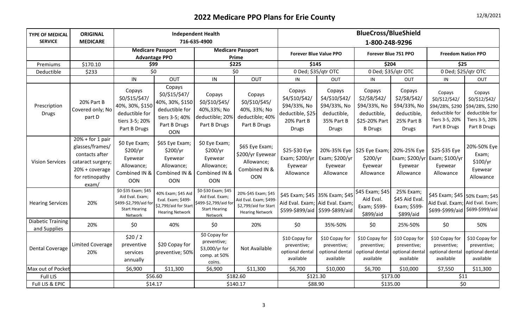| <b>TYPE OF MEDICAL</b>            | <b>ORIGINAL</b>                                                                                                            |                                                                                                    |                                                                                                        | <b>Independent Health</b>                                                                         |                                                                                                  | <b>BlueCross/BlueShield</b>                                                                          |                                                                                       |                                                                                           |                                                                                      |                                                                                                      |                                                                                                 |  |
|-----------------------------------|----------------------------------------------------------------------------------------------------------------------------|----------------------------------------------------------------------------------------------------|--------------------------------------------------------------------------------------------------------|---------------------------------------------------------------------------------------------------|--------------------------------------------------------------------------------------------------|------------------------------------------------------------------------------------------------------|---------------------------------------------------------------------------------------|-------------------------------------------------------------------------------------------|--------------------------------------------------------------------------------------|------------------------------------------------------------------------------------------------------|-------------------------------------------------------------------------------------------------|--|
| <b>SERVICE</b>                    | <b>MEDICARE</b>                                                                                                            |                                                                                                    |                                                                                                        | 716-635-4900                                                                                      |                                                                                                  |                                                                                                      |                                                                                       | 1-800-248-9296                                                                            |                                                                                      |                                                                                                      |                                                                                                 |  |
|                                   |                                                                                                                            | <b>Medicare Passport</b>                                                                           |                                                                                                        |                                                                                                   | <b>Medicare Passport</b>                                                                         | <b>Forever Blue Value PPO</b>                                                                        |                                                                                       | Forever Blue 751 PPO                                                                      |                                                                                      | <b>Freedom Nation PPO</b>                                                                            |                                                                                                 |  |
|                                   |                                                                                                                            | <b>Advantage PPO</b>                                                                               |                                                                                                        |                                                                                                   | Prime                                                                                            |                                                                                                      |                                                                                       |                                                                                           |                                                                                      |                                                                                                      |                                                                                                 |  |
| Premiums                          | \$170.10                                                                                                                   | \$99                                                                                               |                                                                                                        | \$225                                                                                             |                                                                                                  | \$145                                                                                                |                                                                                       | \$204                                                                                     |                                                                                      | \$25                                                                                                 |                                                                                                 |  |
| Deductible                        | \$233                                                                                                                      | \$0                                                                                                |                                                                                                        |                                                                                                   | \$0                                                                                              |                                                                                                      | 0 Ded; \$35/qtr OTC                                                                   | 0 Ded; \$35/qtr OTC                                                                       |                                                                                      | 0 Ded; \$25/qtr OTC                                                                                  |                                                                                                 |  |
|                                   |                                                                                                                            | IN                                                                                                 | OUT                                                                                                    | IN                                                                                                | OUT                                                                                              | IN                                                                                                   | OUT                                                                                   | IN                                                                                        | OUT                                                                                  | IN                                                                                                   | OUT                                                                                             |  |
| Prescription<br><b>Drugs</b>      | 20% Part B<br>Covered only; No<br>part D                                                                                   | Copays<br>\$0/\$15/\$47/<br>40%, 30%, \$150<br>deductible for<br>tiers 3-5; 20%<br>Part B Drugs    | Copays<br>\$0/\$15/\$47/<br>40%, 30%, \$150<br>deductible for<br>tiers 3-5; 40%<br>Part B Drugs<br>OON | Copays<br>\$0/\$10/\$45/<br>40%,33%; No<br>deductible; 20%<br>Part B Drugs                        | Copays<br>\$0/\$10/\$45/<br>40%, 33%; No<br>deductible; 40%<br>Part B Drugs                      | Copays<br>\$4/\$10/\$42/<br>\$94/33%, No<br>deductible, \$25-<br>20% Part B<br><b>Drugs</b>          | Copays<br>\$4/\$10/\$42/<br>\$94/33%, No<br>deductible,<br>35% Part B<br><b>Drugs</b> | Copays<br>\$2/\$8/\$42/<br>\$94/33%, No<br>deductible,<br>\$25-20% Part<br><b>B</b> Drugs | Copays<br>\$2/\$8/\$42/<br>\$94/33%, No<br>deductible,<br>25% Part B<br><b>Drugs</b> | Copays<br>\$0/\$12/\$42/<br>\$94/28%, \$290<br>deductible for<br>Tiers 3-5, 20%<br>Part B Drugs      | Copays<br>\$0/\$12/\$42/<br>\$94/28%, \$290<br>deductible for<br>Tiers 3-5, 20%<br>Part B Drugs |  |
| <b>Vision Services</b>            | $20% + for 1 pair$<br>glasses/frames/<br>contacts after<br>cataract surgery;<br>20% + coverage<br>for retinopathy<br>exam/ | \$0 Eye Exam;<br>\$200/yr<br>Eyewear<br>Allowance;<br>Combined IN &<br><b>OON</b>                  | \$65 Eye Exam;<br>\$200/yr<br>Eyewear<br>Allowance;<br>Combined IN &<br>OON                            | \$0 Eye Exam;<br>\$200/yr<br>Eyewear<br>Allowance;<br>Combined IN &<br>OON                        | \$65 Eye Exam;<br>\$200/yr Eyewear<br>Allowance;<br>Combined IN &<br>OON                         | \$25-\$30 Eye<br>Exam; \$200/yr<br>Eyewear<br>Allowance                                              | 20%-35% Eye<br>Exam; \$200/yr<br>Eyewear<br>Allowance                                 | \$25 Eye Exam; 20%-25% Eye<br>\$200/yr<br>Eyewear<br>Allowance                            | Exam; \$200/yr<br>Eyewear<br>Allowance                                               | \$25-\$35 Eye<br>Exam; \$100/yr<br>Eyewear<br>Allowance                                              | 20%-50% Eye<br>Exam;<br>\$100/yr<br>Eyewear<br>Allowance                                        |  |
| <b>Hearing Services</b>           | 20%                                                                                                                        | \$0-\$35 Exam; \$45<br>Aid Eval. Exam;<br>\$499-\$2,799/aid for<br><b>Start Hearing</b><br>Network | 40% Exam; \$45 Aid<br>Eval. Exam; \$499-<br>\$2,799/aid for Start<br><b>Hearing Network</b>            | \$0-\$30 Exam; \$45<br>Aid Eval. Exam;<br>\$499-\$2,799/aid fo<br><b>Start Hearing</b><br>Network | 20%-\$45 Exam; \$45<br>Aid Eval. Exam; \$499-<br>\$2,799/aid for Start<br><b>Hearing Network</b> | \$45 Exam; \$45 35% Exam; \$45<br>Aid Eval. Exam; Aid Eval. Exam;<br>\$599-\$899/aid \$599-\$899/aid |                                                                                       | \$45 Exam; \$45<br>Aid Eval.<br>Exam; \$599-<br>\$899/aid                                 | 25% Exam;<br>\$45 Aid Eval.<br>Exam; \$599-<br>\$899/aid                             | \$45 Exam; \$45 50% Exam; \$45<br>Aid Eval. Exam; Aid Eval. Exam;<br>\$699-\$999/aid \$699-\$999/aid |                                                                                                 |  |
| Diabetic Training<br>and Supplies | 20%                                                                                                                        | \$0                                                                                                | 40%                                                                                                    | \$0                                                                                               | 20%                                                                                              | \$0                                                                                                  | 35%-50%                                                                               | \$0                                                                                       | 25%-50%                                                                              | \$0                                                                                                  | 50%                                                                                             |  |
| <b>Dental Coverage</b>            | <b>Limited Coverage</b><br>20%                                                                                             | \$20/2<br>preventive<br>services<br>annually                                                       | \$20 Copay for<br>preventive; 50%                                                                      | \$0 Copay for<br>preventive;<br>\$3,000/yr for<br>comp. at 50%<br>coins.                          | Not Available                                                                                    | \$10 Copay for<br>preventive;<br>optional dental<br>available                                        | \$10 Copay for<br>preventive;<br>optional dental<br>available                         | \$10 Copay for<br>preventive;<br>optional dental<br>available                             | \$10 Copay for<br>preventive;<br>optional dental<br>available                        | \$10 Copay for<br>preventive;<br>optional dental<br>available                                        | \$10 Copay for<br>preventive;<br>optional dental<br>available                                   |  |
| Max out of Pocket                 |                                                                                                                            | \$6,900                                                                                            | \$11,300                                                                                               | \$6,900                                                                                           | \$11,300                                                                                         | \$6,700                                                                                              | \$10,000                                                                              | \$6,700                                                                                   | \$10,000                                                                             | \$7,550                                                                                              | \$11,300                                                                                        |  |
| Full LIS                          |                                                                                                                            | \$56.60                                                                                            |                                                                                                        |                                                                                                   | \$182.60                                                                                         | \$121.30                                                                                             |                                                                                       | \$173.00                                                                                  |                                                                                      | \$11                                                                                                 |                                                                                                 |  |
| Full LIS & EPIC                   |                                                                                                                            | \$14.17                                                                                            |                                                                                                        | \$140.17                                                                                          |                                                                                                  | \$88.90                                                                                              |                                                                                       |                                                                                           | \$135.00                                                                             | \$0                                                                                                  |                                                                                                 |  |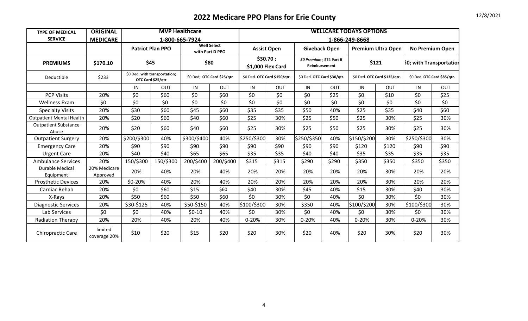| <b>TYPE OF MEDICAL</b>               | <b>ORIGINAL</b>          | <b>MVP Healthcare</b> |                                                    |                |                                       | <b>WELLCARE TODAYS OPTIONS</b> |                    |                                           |       |                |                              |                             |       |
|--------------------------------------|--------------------------|-----------------------|----------------------------------------------------|----------------|---------------------------------------|--------------------------------|--------------------|-------------------------------------------|-------|----------------|------------------------------|-----------------------------|-------|
| <b>SERVICE</b>                       | <b>MEDICARE</b>          |                       |                                                    | 1-800-665-7924 |                                       |                                |                    |                                           |       | 1-866-249-8668 |                              |                             |       |
|                                      |                          |                       | <b>Patriot Plan PPO</b>                            |                | <b>Well Select</b><br>with Part D PPO |                                | <b>Assist Open</b> | <b>Giveback Open</b>                      |       |                | <b>Premium Ultra Open</b>    | <b>No Premium Open</b>      |       |
| <b>PREMIUMS</b>                      | \$170.10                 | \$45                  |                                                    | \$80           |                                       | \$1,000 Flex Card              | \$30.70;           | \$0 Premium; \$74 Part B<br>Reimbursement |       |                | \$121                        | 60; with Transportatior     |       |
| Deductible                           | \$233                    |                       | \$0 Ded; with transportation;<br>OTC Card \$25/qtr |                | \$0 Ded; OTC Card \$25/qtr            | \$0 Ded. OTC Card \$150/qtr.   |                    | \$0 Ded. OTC Card \$30/qtr.               |       |                | \$0 Ded. OTC Card \$135/qtr. | \$0 Ded. OTC Card \$85/qtr. |       |
|                                      |                          | IN                    | OUT                                                | IN             | OUT                                   | IN                             | OUT                | IN                                        | OUT   | IN             | OUT                          | IN                          | OUT   |
| <b>PCP Visits</b>                    | 20%                      | \$0                   | \$60                                               | \$0            | \$60                                  | \$0                            | \$0                | \$0                                       | \$25  | \$0            | \$10                         | \$0                         | \$25  |
| <b>Wellness Exam</b>                 | \$0                      | \$0                   | \$0                                                | \$0            | \$0                                   | \$0                            | \$0                | \$0                                       | \$0   | \$0            | \$0                          | \$0                         | \$0   |
| <b>Specialty Visits</b>              | 20%                      | \$30                  | \$60                                               | \$45           | \$60                                  | \$35                           | \$35               | \$50                                      | 40%   | \$25           | \$35                         | \$40                        | \$60  |
| <b>Outpatient Mental Health</b>      | 20%                      | \$20                  | \$60                                               | \$40           | \$60                                  | \$25                           | 30%                | \$25                                      | \$50  | \$25           | 30%                          | \$25                        | 30%   |
| <b>Outpatient Substance</b><br>Abuse | 20%                      | \$20                  | \$60                                               | \$40           | \$60                                  | \$25                           | 30%                | \$25                                      | \$50  | \$25           | 30%                          | \$25                        | 30%   |
| <b>Outpatient Surgery</b>            | 20%                      | \$200/\$300           | 40%                                                | \$300/\$400    | 40%                                   | \$250/\$300                    | 30%                | \$250/\$350                               | 40%   | \$150/\$200    | 30%                          | \$250/\$300                 | 30%   |
| <b>Emergency Care</b>                | 20%                      | \$90                  | \$90                                               | \$90           | \$90                                  | \$90                           | \$90               | \$90                                      | \$90  | \$120          | \$120                        | \$90                        | \$90  |
| <b>Urgent Care</b>                   | 20%                      | \$40                  | \$40                                               | \$65           | \$65                                  | \$35                           | \$35               | \$40                                      | \$40  | \$35           | \$35                         | \$35                        | \$35  |
| <b>Ambulance Services</b>            | 20%                      | 150/\$300             | 150/\$300                                          | 200/\$400      | 200/\$400                             | \$315                          | \$315              | \$290                                     | \$290 | \$350          | \$350                        | \$350                       | \$350 |
| <b>Durable Medical</b><br>Equipment  | 20% Medicare<br>Approved | 20%                   | 40%                                                | 20%            | 40%                                   | 20%                            | 20%                | 20%                                       | 20%   | 20%            | 30%                          | 20%                         | 20%   |
| <b>Prosthetic Devices</b>            | 20%                      | \$0-20%               | 40%                                                | 20%            | 40%                                   | 20%                            | 20%                | 20%                                       | 20%   | 20%            | 30%                          | 20%                         | 20%   |
| Cardiac Rehab                        | 20%                      | \$0                   | \$60                                               | \$15           | \$60                                  | \$40                           | 30%                | \$45                                      | 40%   | \$15           | 30%                          | \$40                        | 30%   |
| X-Rays                               | 20%                      | \$50                  | \$60                                               | \$50           | \$60                                  | \$0                            | 30%                | \$0                                       | 40%   | \$0            | 30%                          | \$0                         | 30%   |
| <b>Diagnostic Services</b>           | 20%                      | \$30-\$125            | 40%                                                | \$50-\$150     | 40%                                   | \$100/\$300                    | 30%                | \$350                                     | 40%   | \$100/\$200    | 30%                          | \$100/\$300                 | 30%   |
| Lab Services                         | \$0                      | \$0\$                 | 40%                                                | $$0-10$        | 40%                                   | \$0                            | 30%                | \$0                                       | 40%   | \$0            | 30%                          | \$0                         | 30%   |
| <b>Radiation Therapy</b>             | 20%                      | 20%                   | 40%                                                | 20%            | 40%                                   | 0-20%                          | 30%                | $0 - 20%$                                 | 40%   | 0-20%          | 30%                          | 0-20%                       | 30%   |
| <b>Chiropractic Care</b>             | limited<br>coverage 20%  | \$10                  | \$20                                               | \$15           | \$20                                  | \$20                           | 30%                | \$20                                      | 40%   | \$20           | 30%                          | \$20                        | 30%   |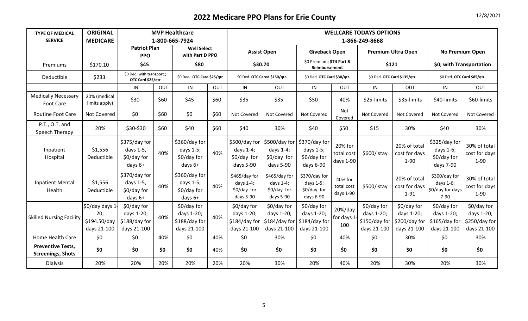| <b>TYPE OF MEDICAL</b><br><b>SERVICE</b>             | <b>ORIGINAL</b><br><b>MEDICARE</b>                   |                                                           |      | <b>MVP Healthcare</b><br>1-800-665-7924                   | <b>WELLCARE TODAYS OPTIONS</b><br>1-866-249-8668 |                                                           |                                                           |                                                           |                                    |                                                             |                                                           |                                                           |                                                           |
|------------------------------------------------------|------------------------------------------------------|-----------------------------------------------------------|------|-----------------------------------------------------------|--------------------------------------------------|-----------------------------------------------------------|-----------------------------------------------------------|-----------------------------------------------------------|------------------------------------|-------------------------------------------------------------|-----------------------------------------------------------|-----------------------------------------------------------|-----------------------------------------------------------|
|                                                      |                                                      | <b>Patriot Plan</b><br><b>PPO</b>                         |      | <b>Well Select</b><br>with Part D PPO                     |                                                  |                                                           | <b>Assist Open</b>                                        | <b>Giveback Open</b>                                      |                                    |                                                             | <b>Premium Ultra Open</b>                                 | <b>No Premium Open</b>                                    |                                                           |
| Premiums                                             | \$170.10                                             | \$45                                                      |      | \$80                                                      |                                                  | \$30.70                                                   |                                                           | \$0 Premium; \$74 Part B<br>Reimbursement                 |                                    | \$121                                                       |                                                           | \$0; with Transportation                                  |                                                           |
| Deductible                                           | \$233                                                | \$0 Ded; with transport.;<br>OTC Card \$25/qtr            |      | \$0 Ded; OTC Card \$25/qtr                                |                                                  | \$0 Ded. OTC Cared \$150/qtr.                             |                                                           | \$0 Ded. OTC Card \$30/qtr.                               |                                    | \$0 Ded. OTC Card \$135/qtr.                                |                                                           | \$0 Ded. OTC Card \$85/qtr.                               |                                                           |
|                                                      |                                                      | IN                                                        | OUT  | IN                                                        | OUT                                              | IN                                                        | OUT                                                       | IN                                                        | OUT                                | IN                                                          | OUT                                                       | IN                                                        | OUT                                                       |
| <b>Medically Necessary</b><br>Foot Care              | 20% (medical<br>limits apply)                        | \$30                                                      | \$60 | \$45                                                      | \$60                                             | \$35                                                      | \$35                                                      | \$50                                                      | 40%                                | \$25-limits                                                 | \$35-limits                                               | \$40-limits                                               | \$60-limits                                               |
| <b>Routine Foot Care</b>                             | Not Covered                                          | \$0                                                       | \$60 | \$0                                                       | \$60                                             | Not Covered                                               | Not Covered                                               | Not Covered                                               | Not<br>Covered                     | Not Covered                                                 | Not Covered                                               | Not Covered                                               | Not Covered                                               |
| P.T., O.T. and<br>Speech Therapy                     | 20%                                                  | \$30-\$30                                                 | \$60 | \$40                                                      | \$60                                             | \$40                                                      | 30%                                                       | \$40                                                      | \$50                               | \$15                                                        | 30%                                                       | \$40                                                      | 30%                                                       |
| Inpatient<br>Hospital                                | \$1,556<br>Deductible                                | \$375/day for<br>days 1-5,<br>\$0/day for<br>days 6+      | 40%  | \$360/day for<br>days 1-5;<br>\$0/day for<br>days 6+      | 40%                                              | \$500/day for<br>days $1-4$ ;<br>\$0/day for<br>days 5-90 | \$500/day for<br>days $1-4$ ;<br>\$0/day for<br>days 5-90 | \$370/day for<br>days 1-5;<br>\$0/day for<br>days 6-90    | 20% for<br>total cost<br>days 1-90 | \$600/ stay                                                 | 20% of total<br>cost for days<br>$1 - 90$                 | \$325/day for<br>days 1-6;<br>\$0/day for<br>days 7-90    | 30% of total<br>cost for days<br>$1 - 90$                 |
| <b>Inpatient Mental</b><br>Health                    | \$1,556<br>Deductible                                | \$370/day for<br>days 1-5,<br>\$0/day for<br>days 6+      | 40%  | \$360/day for<br>days $1-5$ ;<br>\$0/day for<br>days 6+   | 40%                                              | \$465/day for<br>days $1-4$ ;<br>\$0/day for<br>days 5-90 | \$465/day for<br>days $1-4$ ;<br>\$0/day for<br>days 5-90 | \$370/day for<br>days 1-5;<br>\$0/day for<br>days 6-90    | 40% for<br>total cost<br>days 1-90 | \$500/ stay                                                 | 20% of total<br>cost for days<br>$1 - 91$                 | \$300/day for<br>days 1-6;<br>\$0/day for days<br>$7-90$  | 30% of total<br>cost for days<br>$1 - 90$                 |
| <b>Skilled Nursing Facility</b>                      | \$0/day days 1<br>20;<br>\$194.50/day<br>days 21-100 | \$0/day for<br>days 1-20;<br>\$188/day for<br>days 21-100 | 40%  | \$0/day for<br>days 1-20;<br>\$188/day for<br>days 21-100 | 40%                                              | \$0/day for<br>days 1-20;<br>\$184/day for<br>days 21-100 | \$0/day for<br>days 1-20;<br>\$184/day for<br>days 21-100 | \$0/day for<br>days 1-20;<br>\$184/day for<br>days 21-100 | 20%/day<br>for days 1<br>100       | $$0$ /day for<br>days 1-20;<br>\$150/day for<br>days 21-100 | \$0/day for<br>days 1-20;<br>\$200/day for<br>days 21-100 | \$0/day for<br>days 1-20;<br>\$165/day for<br>days 21-100 | \$0/day for<br>days 1-20;<br>\$250/day for<br>days 21-100 |
| Home Health Care                                     | \$0                                                  | \$0                                                       | 40%  | \$0                                                       | 40%                                              | \$0                                                       | 30%                                                       | \$0                                                       | 40%                                | \$0                                                         | 30%                                                       | \$0                                                       | 30%                                                       |
| <b>Preventive Tests,</b><br><b>Screenings, Shots</b> | \$0                                                  | \$0                                                       | \$0  | \$0                                                       | 40%                                              | \$0                                                       | \$0                                                       | \$0                                                       | \$0                                | \$0                                                         | \$0                                                       | \$0                                                       | \$0                                                       |
| <b>Dialysis</b>                                      | 20%                                                  | 20%                                                       | 20%  | 20%                                                       | 20%                                              | 20%                                                       | 30%                                                       | 20%                                                       | 40%                                | 20%                                                         | 30%                                                       | 20%                                                       | 30%                                                       |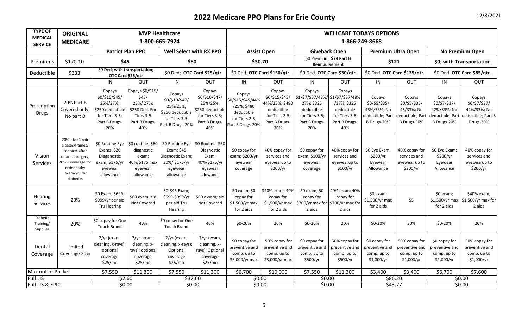| <b>TYPE OF</b><br><b>MEDICAL</b><br><b>SERVICE</b> | <b>ORIGINAL</b><br><b>MEDICARE</b>                                                                                                             |                                                                                                    | <b>MVP Healthcare</b><br>1-800-665-7924                                                      |                                                                                                             |                                                                                                    |                                                                                                | <b>WELLCARE TODAYS OPTIONS</b><br>1-866-249-8668                                                   |                                                                                                                    |                                                                               |                                                                           |                                                                          |                                                                           |                                                                           |  |
|----------------------------------------------------|------------------------------------------------------------------------------------------------------------------------------------------------|----------------------------------------------------------------------------------------------------|----------------------------------------------------------------------------------------------|-------------------------------------------------------------------------------------------------------------|----------------------------------------------------------------------------------------------------|------------------------------------------------------------------------------------------------|----------------------------------------------------------------------------------------------------|--------------------------------------------------------------------------------------------------------------------|-------------------------------------------------------------------------------|---------------------------------------------------------------------------|--------------------------------------------------------------------------|---------------------------------------------------------------------------|---------------------------------------------------------------------------|--|
|                                                    |                                                                                                                                                | <b>Patriot Plan PPO</b>                                                                            |                                                                                              | Well Select with RX PPO                                                                                     |                                                                                                    | <b>Assist Open</b>                                                                             |                                                                                                    | <b>Giveback Open</b>                                                                                               |                                                                               |                                                                           | <b>Premium Ultra Open</b>                                                |                                                                           | <b>No Premium Open</b>                                                    |  |
| Premiums                                           | \$170.10                                                                                                                                       | \$45                                                                                               |                                                                                              | \$80                                                                                                        |                                                                                                    | \$30.70                                                                                        |                                                                                                    | \$0 Premium; \$74 Part B<br>Reimbursement                                                                          |                                                                               | \$121                                                                     |                                                                          |                                                                           | \$0; with Transportation                                                  |  |
| Deductible                                         | \$233                                                                                                                                          | \$0 Ded; with transportation;<br>OTC Card \$25/qtr                                                 |                                                                                              | \$0 Ded; OTC Card \$25/qtr                                                                                  |                                                                                                    |                                                                                                | \$0 Ded. OTC Card \$150/qtr.<br>\$0 Ded. OTC Card \$135/qtr.<br>\$0 Ded. OTC Card \$30/qtr.        |                                                                                                                    |                                                                               | \$0 Ded. OTC Card \$85/qtr.                                               |                                                                          |                                                                           |                                                                           |  |
|                                                    |                                                                                                                                                | IN                                                                                                 | OUT                                                                                          | IN                                                                                                          | OUT                                                                                                | IN                                                                                             | OUT                                                                                                | IN                                                                                                                 | OUT                                                                           | IN                                                                        | OUT                                                                      | IN                                                                        | OUT                                                                       |  |
| Prescription<br><b>Drugs</b>                       | 20% Part B<br>Covered only;<br>No part D                                                                                                       | Copays<br>\$0/\$15/\$45/<br>25%/27%;<br>\$250 deductible<br>for Tiers 3-5;<br>Part B Drugs-<br>20% | Copays \$0/\$15/<br>\$45/<br>25%/27%;<br>\$250 Ded. For<br>Tiers 3-5<br>Part B Drugs-<br>40% | Copays<br>\$0/\$10/\$47/<br>25%/25%;<br>\$250 deductible<br>for Tiers 3-5;<br>Part B Drugs-20%              | Copays<br>\$0/\$10/\$47/<br>25%/25%;<br>\$250 deductible<br>for Tiers 3-5;<br>Part B Drugs-<br>40% | Copays<br>\$0/\$15/\$45/44%<br>/25%; \$480<br>deductible<br>for Tiers 2-5;<br>Part B Drugs-20% | Copays<br>\$0/\$15/\$45/<br>44%/25%; \$480<br>deductible<br>for Tiers 2-5;<br>Part B Drugs-<br>30% | Copays<br>\$1/\$7/\$37/48%/ \$1/\$7/\$37/48%<br>27%; \$325<br>deductible<br>for Tiers 3-5;<br>Part B Drugs-<br>20% | Copays<br>/27%; \$325<br>deductible<br>for Tiers 3-5;<br>Part B Drugs-<br>40% | Copays<br>\$0/\$5/\$35/<br>43%/33%; No<br>deductible; Part<br>B Drugs-20% | Copays<br>\$0/\$5/\$35/<br>45/33%; No<br>deductible; Part<br>B Drugs-30% | Copays<br>\$0/\$7/\$37/<br>42%/33%; No<br>deductible; Part<br>B Drugs-20% | Copays<br>\$0/\$7/\$37/<br>42%/33%; No<br>deductible; Part B<br>Drugs-30% |  |
| Vision<br>Services                                 | $20% + for 1 pair$<br>glasses/frames/<br>contacts after<br>cataract surgery;<br>20% + coverage for<br>retinopathy<br>exam/yr. for<br>diabetics | \$0 Routine Eye<br>Exams; \$20<br>Diaganostic<br>exam; \$175/yr<br>eyewear<br>allowance            | \$0 routine; \$60<br>diagnostic<br>exam;<br>40%/\$175 max<br>eyewear<br>allowance            | \$0 Routine Eye 50 Routine; \$60<br>Exam; \$45<br>Diagnostic Exam;<br>20%/ \$175/yr<br>eyewear<br>allowance | Diagnostic<br>Exam;<br>40%/\$175/yr<br>eyewear<br>allowance                                        | \$0 copay for<br>exam; \$200/yr<br>eyewear<br>coverage                                         | 40% copay for<br>services and<br>eyewearup to<br>\$200/yr                                          | \$0 copay for<br>exam; \$100/yr<br>eyewear<br>coverage                                                             | 40% copay for<br>services and<br>eyewearup to<br>\$100/yr                     | \$0 Eye Exam;<br>\$200/yr<br>Eyewear<br>Allowance                         | 40% copay for<br>services and<br>eyewear up to<br>\$200/yr               | \$0 Eye Exam;<br>\$200/yr<br>Eyewear<br>Allowance                         | 40% copay for<br>services and<br>eyewearup to<br>\$200/yr                 |  |
| Hearing<br>Services                                | 20%                                                                                                                                            | \$0 Exam; \$699-<br>\$999/yr per aid<br><b>Tru Hearing</b>                                         | \$60 exam; aid<br>Not Covered                                                                | \$0-\$45 Exam;<br>\$699-\$999/yr<br>per aid Tru<br>Hearing                                                  | \$60 exxam; aid<br>Not Covered                                                                     | \$0 exam; \$0<br>copay for<br>\$1,500/yr max<br>for 2 aids                                     | \$40% exam; 40%<br>copay for<br>\$1,500/yr max<br>for 2 aids                                       | \$0 exam; \$0<br>copay for<br>\$700/yr max for \$700/yr max for<br>2 aids                                          | 40% exam; 40%<br>copay for<br>2 aids                                          | \$0 exam;<br>\$1,500/yr max<br>for 2 aids                                 | \$5                                                                      | \$0 exam;<br>\$1,500/yr max<br>for 2 aids                                 | \$40% exam;<br>\$1,500/yr max for<br>2 aids                               |  |
| Diabetic<br>Training/<br>Supplies                  | 20%                                                                                                                                            | \$0 copay for One<br><b>Touch Brand</b>                                                            | 40%                                                                                          | \$0 copay for One<br><b>Touch Brand</b>                                                                     | 40%                                                                                                | \$0-20%                                                                                        | 20%                                                                                                | \$0-20%                                                                                                            | 20%                                                                           | \$0-20%                                                                   | 30%                                                                      | \$0-20%                                                                   | 20%                                                                       |  |
| Dental<br>Coverage                                 | Limited<br>Coverage 20%                                                                                                                        | 2/yr (exam,<br>cleaning, x-rays);<br>optional<br>coverage<br>\$25/mo                               | 2/yr (exam,<br>cleaning, x-<br>rays); optional<br>coverage<br>\$25/mo                        | 2/yr (exam,<br>:leaning, x-rays);<br>Optional<br>coverage<br>\$25/mo                                        | 2/yr (exam,<br>cleaning, x-<br>rays); Optional<br>coverage<br>\$25/mo                              | \$0 copay for<br>preventive and<br>comp. up to<br>\$3,000/yr max                               | 50% copay for<br>preventive and<br>comp. up to<br>\$3,000/yr max                                   | \$0 copay for<br>preventive and<br>comp. up to<br>\$500/yr                                                         | 50% copay for<br>preventive and<br>comp. up to<br>\$500/yr                    | \$0 copay for<br>preventive and<br>comp. up to<br>\$1,000/yr              | 50% copay for<br>preventive and<br>comp. up to<br>\$1,000/yr             | \$0 copay for<br>preventive and<br>comp. up to<br>\$1,000/yr              | 50% copay for<br>preventive and<br>comp. up to<br>\$1,000/yr              |  |
| Max out of Pocket                                  |                                                                                                                                                | \$7,550                                                                                            | \$11,300                                                                                     | \$7,550                                                                                                     | \$11,300                                                                                           | \$6,700                                                                                        | \$10,000                                                                                           | \$7,550                                                                                                            | \$11,300                                                                      | \$3,400                                                                   | \$3,400                                                                  | \$6,700                                                                   | \$7,600                                                                   |  |
| <b>Full LIS</b><br>Full LIS & EPIC                 |                                                                                                                                                | \$2.60<br>\$0.00                                                                                   |                                                                                              | \$37.60<br>\$0.00                                                                                           |                                                                                                    | \$0.00<br>\$0.00                                                                               |                                                                                                    | \$0.00<br>\$0.00                                                                                                   |                                                                               | \$86.20<br>\$43.77                                                        |                                                                          |                                                                           | \$0.00<br>\$0.00                                                          |  |
|                                                    |                                                                                                                                                |                                                                                                    |                                                                                              |                                                                                                             |                                                                                                    |                                                                                                |                                                                                                    |                                                                                                                    |                                                                               |                                                                           |                                                                          |                                                                           |                                                                           |  |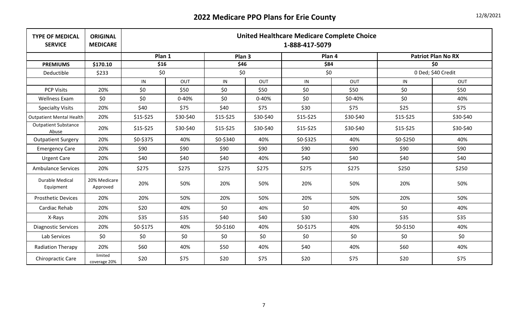| <b>TYPE OF MEDICAL</b><br><b>SERVICE</b> | <b>ORIGINAL</b><br><b>MEDICARE</b> |           | <b>United Healthcare Medicare Complete Choice</b><br>1-888-417-5079 |           |           |           |           |                    |                           |  |  |  |  |  |
|------------------------------------------|------------------------------------|-----------|---------------------------------------------------------------------|-----------|-----------|-----------|-----------|--------------------|---------------------------|--|--|--|--|--|
|                                          |                                    | Plan 1    |                                                                     | Plan 3    |           | Plan 4    |           |                    | <b>Patriot Plan No RX</b> |  |  |  |  |  |
| <b>PREMIUMS</b>                          | \$170.10                           | \$16      |                                                                     | \$46      |           | \$84      |           |                    | \$0                       |  |  |  |  |  |
| Deductible                               | \$233                              | \$0       |                                                                     | \$0       |           | \$0       |           | 0 Ded; \$40 Credit |                           |  |  |  |  |  |
|                                          |                                    | IN        | <b>OUT</b>                                                          | IN        | OUT       | IN        | OUT       | IN                 | OUT                       |  |  |  |  |  |
| <b>PCP Visits</b>                        | 20%                                | \$0\$     | \$50                                                                | \$0       | \$50      | \$0       | \$50      | \$0                | \$50                      |  |  |  |  |  |
| <b>Wellness Exam</b>                     | \$0                                | \$0\$     | $0 - 40%$                                                           | \$0\$     | $0 - 40%$ | \$0       | \$0-40%   | \$0                | 40%                       |  |  |  |  |  |
| <b>Specialty Visits</b>                  | 20%                                | \$40      | \$75                                                                | \$40      | \$75      | \$30      | \$75      | \$25               | \$75                      |  |  |  |  |  |
| <b>Outpatient Mental Health</b>          | 20%                                | $$15-$25$ | \$30-\$40                                                           | $$15-$25$ | \$30-\$40 | $$15-$25$ | \$30-\$40 | $$15-$25$          | \$30-\$40                 |  |  |  |  |  |
| <b>Outpatient Substance</b><br>Abuse     | 20%                                | $$15-$25$ | \$30-\$40                                                           | $$15-$25$ | \$30-\$40 | $$15-$25$ | \$30-\$40 | $$15-$25$          | \$30-\$40                 |  |  |  |  |  |
| <b>Outpatient Surgery</b>                | 20%                                | \$0-\$375 | 40%                                                                 | \$0-\$340 | 40%       | \$0-\$325 | 40%       | \$0-\$250          | 40%                       |  |  |  |  |  |
| <b>Emergency Care</b>                    | 20%                                | \$90      | \$90                                                                | \$90      | \$90      | \$90      | \$90      | \$90               | \$90                      |  |  |  |  |  |
| <b>Urgent Care</b>                       | 20%                                | \$40      | \$40                                                                | \$40      | 40%       | \$40      | \$40      | \$40               | \$40                      |  |  |  |  |  |
| <b>Ambulance Services</b>                | 20%                                | \$275     | \$275                                                               | \$275     | \$275     | \$275     | \$275     | \$250              | \$250                     |  |  |  |  |  |
| <b>Durable Medical</b><br>Equipment      | 20% Medicare<br>Approved           | 20%       | 50%                                                                 | 20%       | 50%       | 20%       | 50%       | 20%                | 50%                       |  |  |  |  |  |
| <b>Prosthetic Devices</b>                | 20%                                | 20%       | 50%                                                                 | 20%       | 50%       | 20%       | 50%       | 20%                | 50%                       |  |  |  |  |  |
| Cardiac Rehab                            | 20%                                | \$20      | 40%                                                                 | \$0       | 40%       | \$0       | 40%       | \$0                | 40%                       |  |  |  |  |  |
| X-Rays                                   | 20%                                | \$35      | \$35                                                                | \$40      | \$40      | \$30      | \$30      | \$35               | \$35                      |  |  |  |  |  |
| <b>Diagnostic Services</b>               | 20%                                | \$0-\$175 | 40%                                                                 | \$0-\$160 | 40%       | \$0-\$175 | 40%       | \$0-\$150          | 40%                       |  |  |  |  |  |
| Lab Services                             | \$0                                | \$0       | \$0                                                                 | \$0       | \$0       | \$0       | \$0\$     | \$0                | \$0\$                     |  |  |  |  |  |
| Radiation Therapy                        | 20%                                | \$60      | 40%                                                                 | \$50      | 40%       | \$40      | 40%       | \$60               | 40%                       |  |  |  |  |  |
| Chiropractic Care                        | limited<br>coverage 20%            | \$20      | \$75                                                                | \$20      | \$75      | \$20      | \$75      | \$20               | \$75                      |  |  |  |  |  |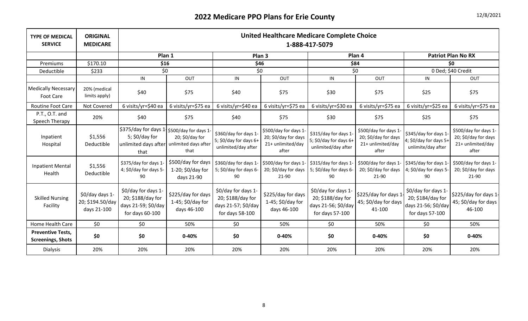| <b>TYPE OF MEDICAL</b><br><b>SERVICE</b>             | <b>ORIGINAL</b><br><b>MEDICARE</b>                 |                                                                                                |                                                        |                                                                                    |                                                                             | <b>United Healthcare Medicare Complete Choice</b><br>1-888-417-5079                |                                                                             |                                                                                    |                                                                             |
|------------------------------------------------------|----------------------------------------------------|------------------------------------------------------------------------------------------------|--------------------------------------------------------|------------------------------------------------------------------------------------|-----------------------------------------------------------------------------|------------------------------------------------------------------------------------|-----------------------------------------------------------------------------|------------------------------------------------------------------------------------|-----------------------------------------------------------------------------|
|                                                      |                                                    | Plan 1                                                                                         |                                                        | Plan <sub>3</sub>                                                                  |                                                                             |                                                                                    | Plan 4                                                                      |                                                                                    | <b>Patriot Plan No RX</b>                                                   |
| Premiums                                             | \$170.10                                           | \$16                                                                                           |                                                        | \$46                                                                               |                                                                             | \$84                                                                               |                                                                             |                                                                                    | \$0                                                                         |
| Deductible                                           | \$233                                              | \$0                                                                                            |                                                        | \$0                                                                                |                                                                             | \$0                                                                                |                                                                             |                                                                                    | 0 Ded; \$40 Credit                                                          |
|                                                      |                                                    | IN                                                                                             | OUT                                                    | IN                                                                                 | OUT                                                                         | IN                                                                                 | OUT                                                                         | IN                                                                                 | OUT                                                                         |
| <b>Medically Necessary</b><br>Foot Care              | 20% (medical<br>limits apply)                      | \$40                                                                                           | \$75                                                   | \$40                                                                               | \$75                                                                        | \$30                                                                               | \$75                                                                        | \$25                                                                               | \$75                                                                        |
| <b>Routine Foot Care</b>                             | Not Covered                                        | 6 visits/yr=\$40 ea                                                                            | 6 visits/yr=\$75 ea                                    | 6 visits/yr=\$40 ea                                                                | 6 visits/yr=\$75 ea                                                         | 6 visits/yr=\$30 ea                                                                | 6 visits/yr=\$75 ea                                                         | 6 visits/yr=\$25 ea                                                                | 6 visits/yr=\$75 ea                                                         |
| P.T., O.T. and<br>Speech Therapy                     | 20%                                                | \$40                                                                                           | \$75                                                   | \$40                                                                               | \$75                                                                        | \$30                                                                               | \$75                                                                        | \$25                                                                               | \$75                                                                        |
| Inpatient<br>Hospital                                | \$1,556<br>Deductible                              | \$375/day for days 1 \$500/day for days 1-<br>5; $$0$ /day for<br>unlimited days after<br>that | 20; \$0/day for<br>unlimited days after<br>that        | \$360/day for days 1-<br>5; \$0/day for days 6+<br>unlimited/day after             | \$500/day for days 1-<br>20; \$0/day for days<br>21+ unlimited/day<br>after | \$315/day for days 1-<br>5; \$0/day for days 6+<br>unlimited/day after             | \$500/day for days 1-<br>20; \$0/day for days<br>21+ unlimited/day<br>after | \$345/day for days 1<br>4; \$0/day for days 5+<br>unlimite/day after               | \$500/day for days 1-<br>20; \$0/day for days<br>21+ unlimited/day<br>after |
| <b>Inpatient Mental</b><br>Health                    | \$1,556<br>Deductible                              | \$375/day for days 1-<br>4; \$0/day for days 5-<br>90                                          | \$500/day for days<br>1-20; \$0/day for<br>days 21-90  | \$360/day for days 1<br>5; \$0/day for days 6-<br>90                               | \$500/day for days 1-<br>20; \$0/day for days<br>21-90                      | \$315/day for days 1<br>5; $$0$ /day for days 6-<br>90                             | \$500/day for days 1-<br>20; \$0/day for days<br>21-90                      | \$345/day for days 1<br>4; $$0$ /day for days 5-<br>90                             | \$500/day for days 1-<br>20; \$0/day for days<br>21-90                      |
| <b>Skilled Nursing</b><br>Facility                   | \$0/day days 1-<br>20; \$194.50/day<br>days 21-100 | \$0/day for days 1-<br>20; \$188/day for<br>days 21-59; \$0/day<br>for days 60-100             | \$225/day for days<br>1-45; \$0/day for<br>days 46-100 | \$0/day for days 1-<br>20; \$188/day for<br>days 21-57; \$0/day<br>for days 58-100 | \$225/day for days<br>1-45; \$0/day for<br>days 46-100                      | \$0/day for days 1-<br>20; \$188/day for<br>days 21-56; \$0/day<br>for days 57-100 | \$225/day for days 1<br>45; \$0/day for days<br>41-100                      | \$0/day for days 1-<br>20; \$184/day for<br>days 21-56; \$0/day<br>for days 57-100 | \$225/day for days 1-<br>45; \$0/day for days<br>46-100                     |
| Home Health Care                                     | \$0                                                | \$0                                                                                            | 50%                                                    | \$0                                                                                | 50%                                                                         | \$0                                                                                | 50%                                                                         | \$0\$                                                                              | 50%                                                                         |
| <b>Preventive Tests,</b><br><b>Screenings, Shots</b> | \$0                                                | \$0                                                                                            | $0 - 40%$                                              | \$0                                                                                | $0 - 40%$                                                                   | \$0                                                                                | $0 - 40%$                                                                   | \$0                                                                                | $0 - 40%$                                                                   |
| <b>Dialysis</b>                                      | 20%                                                | 20%                                                                                            | 20%                                                    | 20%                                                                                | 20%                                                                         | 20%                                                                                | 20%                                                                         | 20%                                                                                | 20%                                                                         |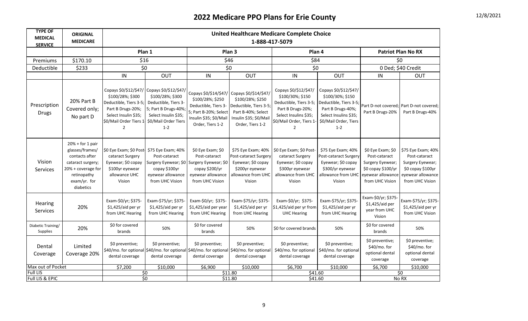| <b>TYPE OF</b><br><b>MEDICAL</b><br><b>SERVICE</b> | <b>ORIGINAL</b><br><b>MEDICARE</b>                                                                                                             |                                                                                                                                                                                                        |                                                                                                                     |                                                                                                                                          |                                                                                                                                         | <b>United Healthcare Medicare Complete Choice</b><br>1-888-417-5079                                                                                            |                                                                                                                                                       |                                                                                                                      |                                                                                                                      |
|----------------------------------------------------|------------------------------------------------------------------------------------------------------------------------------------------------|--------------------------------------------------------------------------------------------------------------------------------------------------------------------------------------------------------|---------------------------------------------------------------------------------------------------------------------|------------------------------------------------------------------------------------------------------------------------------------------|-----------------------------------------------------------------------------------------------------------------------------------------|----------------------------------------------------------------------------------------------------------------------------------------------------------------|-------------------------------------------------------------------------------------------------------------------------------------------------------|----------------------------------------------------------------------------------------------------------------------|----------------------------------------------------------------------------------------------------------------------|
|                                                    |                                                                                                                                                | Plan 1                                                                                                                                                                                                 |                                                                                                                     |                                                                                                                                          | Plan <sub>3</sub>                                                                                                                       | Plan <sub>4</sub>                                                                                                                                              |                                                                                                                                                       |                                                                                                                      | <b>Patriot Plan No RX</b>                                                                                            |
| Premiums                                           | \$170.10                                                                                                                                       | \$16                                                                                                                                                                                                   |                                                                                                                     | \$46                                                                                                                                     |                                                                                                                                         | \$84                                                                                                                                                           |                                                                                                                                                       |                                                                                                                      | \$0                                                                                                                  |
| Deductible                                         | \$233                                                                                                                                          | \$0                                                                                                                                                                                                    |                                                                                                                     | \$0                                                                                                                                      |                                                                                                                                         | \$0                                                                                                                                                            |                                                                                                                                                       | 0 Ded; \$40 Credit                                                                                                   |                                                                                                                      |
|                                                    |                                                                                                                                                | IN                                                                                                                                                                                                     | <b>OUT</b>                                                                                                          | ${\sf IN}$                                                                                                                               | <b>OUT</b>                                                                                                                              | ${\sf IN}$                                                                                                                                                     | OUT                                                                                                                                                   | IN                                                                                                                   | OUT                                                                                                                  |
| Prescription<br><b>Drugs</b>                       | 20% Part B<br>Covered only;<br>No part D                                                                                                       | Copays \$0/\$12/\$47/ Copays \$0/\$12/\$47/<br>\$100/28%; \$300<br>Deductible, Tiers 3-5;<br>Part B Drugs-20%;<br>Select Insulin \$35;<br>\$0/Mail Order Tiers 1 \$0/Mail Order Tiers<br>$\mathcal{P}$ | \$100/28%; \$300<br>Deductible, Tiers 3-<br>5; Part B Drugs-40%;<br>Select Insulin \$35;<br>$1 - 2$                 | Copays \$0/\$14/\$47/<br>\$100/28%; \$250<br>Deductible, Tiers 3-<br>5; Part B-20%; Select<br>Insulin \$35; \$0/Mail<br>Order, Tiers 1-2 | Copays \$0/\$14/\$47/<br>\$100/28%; \$250<br>Deductible, Tiers 3-5;<br>Part B-40%; Select<br>Insulin \$35; \$0/Mail<br>Order, Tiers 1-2 | Copays \$0/\$12/\$47/<br>\$100/30%; \$150<br>Deductible, Tiers 3-5;<br>Part B Drugs-20%;<br>Select Insulins \$35;<br>\$0/Mail Order, Tiers 1<br>$\overline{2}$ | Copays \$0/\$12/\$47/<br>\$100/30%; \$150<br>Deductible, Tiers 3-5;<br>Part B Drugs-40%;<br>Select Insulins \$35;<br>\$0/Mail Order, Tiers<br>$1 - 2$ | Part B Drugs-20%                                                                                                     | Part D-not covered; Part D-not covered;<br>Part B Drugs-40%                                                          |
| Vision<br>Services                                 | $20% + for 1 pair$<br>glasses/frames/<br>contacts after<br>cataract surgery;<br>20% + coverage for<br>retinopathy<br>exam/yr. for<br>diabetics | \$0 Eye Exam; \$0 Post- \$75 Eye Exam; 40%<br>cataract Surgery<br>Eyewear; \$0 copay<br>\$100yr eyewear<br>allowance UHC<br>Vision                                                                     | Post-cataract<br>Surgery Eyewear; \$0 Surgery Eyewear; \$0<br>copay \$100yr<br>eyewear allowance<br>from UHC Vision | \$0 Eye Exam; \$0<br>Post-cataract<br>copay \$200/yr<br>eyewear allowance<br>from UHC Vision                                             | \$75 Eye Exam; 40%<br>Post-cataract Surgery<br>Eyewear; \$0 copay<br>\$200yr eyewear<br>allowance from UHC<br>Vision                    | \$0 Eye Exam; \$0 Post-<br>cataract Surgery<br>Eyewear; \$0 copay<br>\$300yr eyewear<br>allowance from UHC<br>Vision                                           | \$75 Eye Exam; 40%<br>Post-cataract Surgery<br>Eyewear; \$0 copay<br>\$300/yr eyewear<br>allowance from UHC<br>Vision                                 | \$0 Eye Exam; \$0<br>Post-cataract<br>Surgery Eyewear;<br>\$0 copay \$100/yr<br>eyewear allowance<br>from UHC Vision | \$75 Eye Exam; 40%<br>Post-cataract<br>Surgery Eyewear;<br>\$0 copay \$100yr<br>eyewear allowance<br>from UHC Vision |
| <b>Hearing</b><br>Services                         | 20%                                                                                                                                            | Exam-\$0/yr; \$375-<br>\$1,425/aid per yr<br>from UHC Hearing                                                                                                                                          | Exam-\$75/yr; \$375-<br>\$1,425/aid per yr<br>from UHC Hearing                                                      | Exam-\$0/yr; \$375-<br>\$1,425/aid per year<br>from UHC Hearing                                                                          | Exam-\$75/yr; \$375-<br>\$1,425/aid per yr<br>from UHC Hearing                                                                          | Exam-\$0/yr; \$375-<br>\$1,425/aid per yr from<br><b>UHC Hearing</b>                                                                                           | Exam-\$75/yr; \$375-<br>\$1,425/aid per yr<br>from UHC Hearing                                                                                        | Exam-\$0/yr; \$375-<br>\$1,425/aid per<br>year from UHC<br>Vision                                                    | Exam-\$75/yr; \$375-<br>\$1,425/aid per yr<br>from UHC Vision                                                        |
| Diabetic Training/<br>Supplies                     | 20%                                                                                                                                            | \$0 for covered<br>brands                                                                                                                                                                              | 50%                                                                                                                 | \$0 for covered<br>brands                                                                                                                | 50%                                                                                                                                     | \$0 for covered brands                                                                                                                                         | 50%                                                                                                                                                   | \$0 for covered<br>brands                                                                                            | 50%                                                                                                                  |
| Dental<br>Coverage                                 | Limited<br>Coverage 20%                                                                                                                        | \$0 preventive;<br>\$40/mo. for optional \$40/mo. for optional \$40/mo. for optional \$40/mo. for optional<br>dental coverage                                                                          | \$0 preventive;<br>dental coverage                                                                                  | \$0 preventive;<br>dental coverage                                                                                                       | \$0 preventive;<br>dental coverage                                                                                                      | \$0 preventive;<br>\$40/mo. for optional<br>dental coverage                                                                                                    | \$0 preventive;<br>\$40/mo. for optional<br>dental coverage                                                                                           | \$0 preventive;<br>\$40/mo. for<br>optional dental<br>coverage                                                       | \$0 preventive;<br>\$40/mo. for<br>optional dental<br>coverage                                                       |
| Max out of Pocket                                  |                                                                                                                                                | \$7,200                                                                                                                                                                                                | \$10,000                                                                                                            | \$6,900                                                                                                                                  | \$10,000                                                                                                                                | \$6,700                                                                                                                                                        | \$10,000                                                                                                                                              | \$6,700                                                                                                              | \$10,000                                                                                                             |
| <b>Full LIS</b><br><b>Full LIS &amp; EPIC</b>      |                                                                                                                                                | $\overline{50}$<br>$\overline{50}$                                                                                                                                                                     |                                                                                                                     | \$11.80                                                                                                                                  | \$11.80                                                                                                                                 | \$41.60<br>\$41.60                                                                                                                                             |                                                                                                                                                       |                                                                                                                      | \$0<br>No RX                                                                                                         |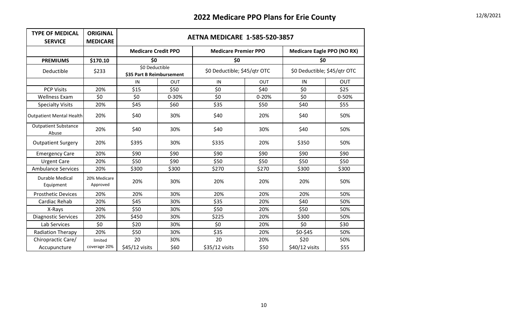| <b>TYPE OF MEDICAL</b><br><b>SERVICE</b> | <b>ORIGINAL</b><br><b>MEDICARE</b> |                                             | <b>AETNA MEDICARE 1-585-520-3857</b> |                              |       |                                   |       |  |  |  |  |  |
|------------------------------------------|------------------------------------|---------------------------------------------|--------------------------------------|------------------------------|-------|-----------------------------------|-------|--|--|--|--|--|
|                                          |                                    | <b>Medicare Credit PPO</b>                  |                                      | <b>Medicare Premier PPO</b>  |       | <b>Medicare Eagle PPO (NO RX)</b> |       |  |  |  |  |  |
| <b>PREMIUMS</b>                          | \$170.10                           | \$0                                         |                                      | \$0                          |       | \$0                               |       |  |  |  |  |  |
| Deductible                               | \$233                              | \$0 Deductible<br>\$35 Part B Reimbursement |                                      | \$0 Deductible; \$45/qtr OTC |       | \$0 Deductible; \$45/qtr OTC      |       |  |  |  |  |  |
|                                          |                                    | IN                                          | <b>OUT</b>                           | IN                           | OUT   | IN                                | OUT   |  |  |  |  |  |
| <b>PCP Visits</b>                        | 20%                                | \$15                                        | \$50                                 | \$0                          | \$40  | \$0                               | \$25  |  |  |  |  |  |
| <b>Wellness Exam</b>                     | \$0                                | \$0                                         | 0-30%                                | \$0                          | 0-20% | \$0                               | 0-50% |  |  |  |  |  |
| <b>Specialty Visits</b>                  | 20%                                | \$45                                        | \$60                                 | \$35                         | \$50  | \$40                              | \$55  |  |  |  |  |  |
| <b>Outpatient Mental Health</b>          | 20%                                | \$40                                        | 30%                                  | \$40                         | 20%   | \$40                              | 50%   |  |  |  |  |  |
| <b>Outpatient Substance</b><br>Abuse     | 20%                                | \$40                                        | 30%                                  | \$40                         | 30%   | \$40                              | 50%   |  |  |  |  |  |
| <b>Outpatient Surgery</b>                | 20%                                | \$395                                       | 30%                                  | \$335                        | 20%   | \$350                             | 50%   |  |  |  |  |  |
| <b>Emergency Care</b>                    | 20%                                | \$90                                        | \$90                                 | \$90                         | \$90  | \$90                              | \$90  |  |  |  |  |  |
| <b>Urgent Care</b>                       | 20%                                | \$50                                        | \$90                                 | \$50                         | \$50  | \$50                              | \$50  |  |  |  |  |  |
| <b>Ambulance Services</b>                | 20%                                | \$300                                       | \$300                                | \$270                        | \$270 | \$300                             | \$300 |  |  |  |  |  |
| Durable Medical<br>Equipment             | 20% Medicare<br>Approved           | 20%                                         | 30%                                  | 20%                          | 20%   | 20%                               | 50%   |  |  |  |  |  |
| <b>Prosthetic Devices</b>                | 20%                                | 20%                                         | 30%                                  | 20%                          | 20%   | 20%                               | 50%   |  |  |  |  |  |
| Cardiac Rehab                            | 20%                                | \$45                                        | 30%                                  | \$35                         | 20%   | \$40                              | 50%   |  |  |  |  |  |
| X-Rays                                   | 20%                                | \$50                                        | 30%                                  | \$50                         | 20%   | \$50                              | 50%   |  |  |  |  |  |
| <b>Diagnostic Services</b>               | 20%                                | \$450                                       | 30%                                  | \$225                        | 20%   | \$300                             | 50%   |  |  |  |  |  |
| Lab Services                             | \$0                                | \$20                                        | 30%                                  | \$0                          | 20%   | \$0                               | \$30  |  |  |  |  |  |
| <b>Radiation Therapy</b>                 | 20%                                | \$50                                        | 30%                                  | \$35                         | 20%   | \$0-\$45                          | 50%   |  |  |  |  |  |
| Chiropractic Care/                       | limited                            | 20                                          | 30%                                  | 20                           | 20%   | \$20                              | 50%   |  |  |  |  |  |
| Accupuncture                             | coverage 20%                       | \$45/12 visits                              | \$60                                 | \$35/12 visits               | \$50  | \$40/12 visits                    | \$55  |  |  |  |  |  |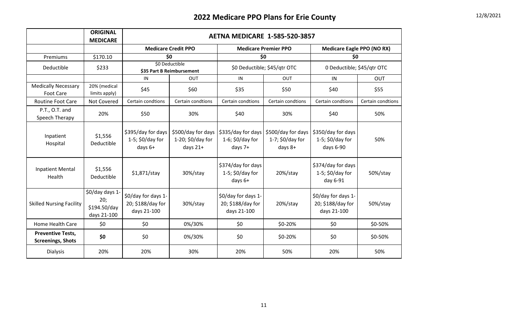|                                                      | <b>ORIGINAL</b><br><b>MEDICARE</b>                    |                                                         | <b>AETNA MEDICARE 1-585-520-3857</b>                  |                                                         |                                                      |                                                         |                   |  |  |  |  |  |
|------------------------------------------------------|-------------------------------------------------------|---------------------------------------------------------|-------------------------------------------------------|---------------------------------------------------------|------------------------------------------------------|---------------------------------------------------------|-------------------|--|--|--|--|--|
|                                                      |                                                       |                                                         | <b>Medicare Credit PPO</b>                            |                                                         | <b>Medicare Premier PPO</b>                          | <b>Medicare Eagle PPO (NO RX)</b>                       |                   |  |  |  |  |  |
| Premiums                                             | \$170.10                                              |                                                         | \$0                                                   |                                                         | \$0                                                  | \$0                                                     |                   |  |  |  |  |  |
| Deductible                                           | \$233                                                 |                                                         | \$0 Deductible<br>\$35 Part B Reimbursement           |                                                         | \$0 Deductible; \$45/qtr OTC                         | 0 Deductible; \$45/qtr OTC                              |                   |  |  |  |  |  |
|                                                      |                                                       | IN                                                      | OUT                                                   | IN                                                      | OUT                                                  | IN                                                      | OUT               |  |  |  |  |  |
| <b>Medically Necessary</b><br>Foot Care              | 20% (medical<br>limits apply)                         | \$45                                                    | \$60                                                  | \$35                                                    | \$50                                                 | \$40                                                    | \$55              |  |  |  |  |  |
| <b>Routine Foot Care</b>                             | Not Covered                                           | Certain condtions                                       | Certain condtions                                     | Certain condtions                                       | Certain condtions                                    | Certain condtions                                       | Certain condtions |  |  |  |  |  |
| P.T., O.T. and<br>Speech Therapy                     | 20%                                                   | \$50                                                    | 30%                                                   | \$40                                                    | 30%                                                  | \$40                                                    | 50%               |  |  |  |  |  |
| Inpatient<br>Hospital                                | \$1,556<br>Deductible                                 | \$395/day for days<br>$1-5$ ; \$0/day for<br>days 6+    | \$500/day for days<br>1-20; \$0/day for<br>days $21+$ | \$335/day for days<br>1-6; $$0$ /day for<br>days $7+$   | \$500/day for days<br>$1-7$ ; \$0/day for<br>days 8+ | \$350/day for days<br>1-5; $$0$ /day for<br>days 6-90   | 50%               |  |  |  |  |  |
| <b>Inpatient Mental</b><br>Health                    | \$1,556<br>Deductible                                 | $$1,871/$ stay                                          | 30%/stay                                              | \$374/day for days<br>$1-5$ ; \$0/day for<br>days $6+$  | 20%/stay                                             | \$374/day for days<br>1-5; $$0$ /day for<br>day 6-91    | 50%/stay          |  |  |  |  |  |
| <b>Skilled Nursing Facility</b>                      | \$0/day days 1-<br>20;<br>\$194.50/day<br>days 21-100 | \$0/day for days 1-<br>20; \$188/day for<br>days 21-100 | 30%/stay                                              | \$0/day for days 1-<br>20; \$188/day for<br>days 21-100 | 20%/stay                                             | \$0/day for days 1-<br>20; \$188/day for<br>days 21-100 | 50%/stay          |  |  |  |  |  |
| Home Health Care                                     | \$0                                                   | \$0                                                     | 0%/30%                                                | \$0                                                     | \$0-20%                                              | \$0                                                     | \$0-50%           |  |  |  |  |  |
| <b>Preventive Tests,</b><br><b>Screenings, Shots</b> | \$0                                                   | \$0                                                     | 0%/30%                                                | \$0                                                     | \$0-20%                                              | \$0                                                     | \$0-50%           |  |  |  |  |  |
| <b>Dialysis</b>                                      | 20%                                                   | 20%                                                     | 30%                                                   | 20%                                                     | 50%                                                  | 20%                                                     | 50%               |  |  |  |  |  |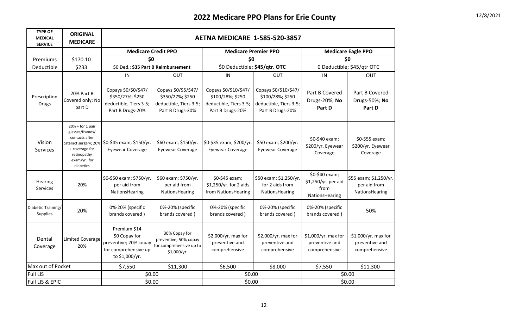| <b>TYPE OF</b><br><b>MEDICAL</b><br><b>SERVICE</b> | <b>ORIGINAL</b><br><b>MEDICARE</b>                                                                                    | <b>AETNA MEDICARE 1-585-520-3857</b>                                                             |                                                                                        |                                                                                         |                                                                                         |                                                                 |                                                          |  |
|----------------------------------------------------|-----------------------------------------------------------------------------------------------------------------------|--------------------------------------------------------------------------------------------------|----------------------------------------------------------------------------------------|-----------------------------------------------------------------------------------------|-----------------------------------------------------------------------------------------|-----------------------------------------------------------------|----------------------------------------------------------|--|
|                                                    |                                                                                                                       | <b>Medicare Credit PPO</b><br><b>Medicare Premier PPO</b>                                        |                                                                                        |                                                                                         |                                                                                         |                                                                 | <b>Medicare Eagle PPO</b>                                |  |
| Premiums                                           | \$170.10                                                                                                              | \$0                                                                                              |                                                                                        | \$0                                                                                     |                                                                                         | \$0                                                             |                                                          |  |
| Deductible                                         | \$233                                                                                                                 | \$0 Ded.; \$35 Part B Reimbursement                                                              |                                                                                        | \$0 Deductible; \$45/qtr. OTC                                                           |                                                                                         |                                                                 | 0 Deductible; \$45/qtr OTC                               |  |
|                                                    |                                                                                                                       | IN                                                                                               | <b>OUT</b>                                                                             | IN                                                                                      | <b>OUT</b>                                                                              | IN                                                              | <b>OUT</b>                                               |  |
| Prescription<br><b>Drugs</b>                       | 20% Part B<br>Covered only; No<br>part D                                                                              | Copays \$0/\$0/\$47/<br>\$350/27%; \$250<br>deductible, Tiers 3-5;<br>Part B Drugs-20%           | Copays \$0/\$5/\$47/<br>\$350/27%; \$250<br>deductible, Tiers 3-5;<br>Part B Drugs-30% | Copays \$0/\$10/\$47/<br>\$100/28%; \$250<br>deductible, Tiers 3-5;<br>Part B Drugs-20% | Copays \$0/\$10/\$47/<br>\$100/28%; \$250<br>deductible, Tiers 3-5;<br>Part B Drugs-20% | Part B Covered<br>Drugs-20%; No<br>Part D                       | Part B Covered<br>Drugs-50%; No<br>Part D                |  |
| Vision<br><b>Services</b>                          | $20% + for 1 pair$<br>glasses/frames/<br>contacts after<br>+ coverage for<br>retinopathy<br>exam/yr. for<br>diabetics | cataract surgery; 20% \$0-\$45 exam; \$150/yr.<br><b>Eyewear Coverage</b>                        | \$60 exam; \$150/yr.<br><b>Eyewear Coverage</b>                                        | \$0-\$35 exam; \$200/yr.<br><b>Eyewear Coverage</b>                                     | \$50 exam; \$200/yr.<br><b>Eyewear Coverage</b>                                         | \$0-\$40 exam;<br>\$200/yr. Eyewear<br>Coverage                 | \$0-\$55 exam;<br>\$200/yr. Eyewear<br>Coverage          |  |
| Hearing<br><b>Services</b>                         | 20%                                                                                                                   | \$0-\$50 exam; \$750/yr.<br>per aid from<br>NationsHearing                                       | \$60 exam; \$750/yr.<br>per aid from<br>NationsHearing                                 | \$0-\$45 exam;<br>\$1,250/yr. for 2 aids<br>from NationsHearing                         | \$50 exam; \$1,250/yr.<br>for 2 aids from<br>NationsHearing                             | \$0-\$40 exam;<br>\$1,250/yr. per aid<br>from<br>NationsHearing | \$55 exam; \$1,250/yr.<br>per aid from<br>NationsHearing |  |
| Diabetic Training/<br>Supplies                     | 20%                                                                                                                   | 0%-20% (specific<br>brands covered)                                                              | 0%-20% (specific<br>brands covered)                                                    | 0%-20% (specific<br>brands covered)                                                     | 0%-20% (specific<br>brands covered)                                                     | 0%-20% (specific<br>brands covered)                             | 50%                                                      |  |
| Dental<br>Coverage                                 | <b>Limited Coverage</b><br>20%                                                                                        | Premium \$14<br>\$0 Copay for<br>preventive; 20% copay<br>for comprehensive up<br>to \$1,000/yr. | 30% Copay for<br>preventive; 50% copay<br>for comprehensive up to<br>\$1,000/yr.       | \$2,000/yr. max for<br>preventive and<br>comprehensive                                  | \$2,000/yr. max for<br>preventive and<br>comprehensive                                  | \$1,000/yr. max for<br>preventive and<br>comprehensive          | \$1,000/yr. max for<br>preventive and<br>comprehensive   |  |
| Max out of Pocket                                  |                                                                                                                       | \$7,550                                                                                          | \$11,300                                                                               | \$6,500                                                                                 | \$8,000                                                                                 | \$7,550                                                         | \$11,300                                                 |  |
| <b>Full LIS</b>                                    |                                                                                                                       | \$0.00                                                                                           |                                                                                        | \$0.00                                                                                  |                                                                                         | \$0.00                                                          |                                                          |  |
| Full LIS & EPIC                                    |                                                                                                                       | \$0.00                                                                                           |                                                                                        | \$0.00                                                                                  |                                                                                         | \$0.00                                                          |                                                          |  |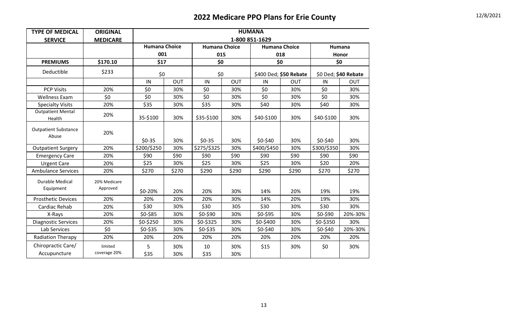| <b>TYPE OF MEDICAL</b>               | <b>ORIGINAL</b>          | <b>HUMANA</b>                       |            |             |                                              |                        |            |                        |            |  |
|--------------------------------------|--------------------------|-------------------------------------|------------|-------------|----------------------------------------------|------------------------|------------|------------------------|------------|--|
| <b>SERVICE</b>                       | <b>MEDICARE</b>          | 1-800 851-1629                      |            |             |                                              |                        |            |                        |            |  |
|                                      |                          | <b>Humana Choice</b><br>001<br>\$17 |            |             | <b>Humana Choice</b><br><b>Humana Choice</b> |                        |            | Humana<br>Honor<br>\$0 |            |  |
|                                      |                          |                                     |            | 015         |                                              | 018                    |            |                        |            |  |
| <b>PREMIUMS</b>                      | \$170.10                 |                                     |            | \$0         |                                              | \$0                    |            |                        |            |  |
| Deductible                           | \$233                    | \$0                                 |            | \$0         |                                              | \$400 Ded; \$50 Rebate |            | \$0 Ded; \$40 Rebate   |            |  |
|                                      |                          | IN                                  | <b>OUT</b> | IN          | <b>OUT</b>                                   | IN                     | <b>OUT</b> | IN                     | <b>OUT</b> |  |
| <b>PCP Visits</b>                    | 20%                      | \$0                                 | 30%        | \$0         | 30%                                          | \$0                    | 30%        | \$0                    | 30%        |  |
| <b>Wellness Exam</b>                 | \$0                      | \$0                                 | 30%        | \$0         | 30%                                          | \$0                    | 30%        | \$0                    | 30%        |  |
| <b>Specialty Visits</b>              | 20%                      | \$35                                | 30%        | \$35        | 30%                                          | \$40                   | 30%        | \$40                   | 30%        |  |
| <b>Outpatient Mental</b><br>Health   | 20%                      | 35-\$100                            | 30%        | \$35-\$100  | 30%                                          | \$40-\$100             | 30%        | \$40-\$100             | 30%        |  |
| <b>Outpatient Substance</b><br>Abuse | 20%                      | $$0-35$                             | 30%        | $$0-35$     | 30%                                          | \$0-\$40               | 30%        | \$0-\$40               | 30%        |  |
| <b>Outpatient Surgery</b>            | 20%                      | \$200/\$250                         | 30%        | \$275/\$325 | 30%                                          | \$400/\$450            | 30%        | \$300/\$350            | 30%        |  |
| <b>Emergency Care</b>                | 20%                      | \$90                                | \$90       | \$90        | \$90                                         | \$90                   | \$90       | \$90                   | \$90       |  |
| <b>Urgent Care</b>                   | 20%                      | \$25                                | 30%        | \$25        | 30%                                          | \$25                   | 30%        | \$20                   | 20%        |  |
| <b>Ambulance Services</b>            | 20%                      | \$270                               | \$270      | \$290       | \$290                                        | \$290                  | \$290      | \$270                  | \$270      |  |
| <b>Durable Medical</b><br>Equipment  | 20% Medicare<br>Approved | \$0-20%                             | 20%        | 20%         | 30%                                          | 14%                    | 20%        | 19%                    | 19%        |  |
| <b>Prosthetic Devices</b>            | 20%                      | 20%                                 | 20%        | 20%         | 30%                                          | 14%                    | 20%        | 19%                    | 30%        |  |
| Cardiac Rehab                        | 20%                      | \$30                                | 30%        | \$30        | 305                                          | \$30                   | 30%        | \$30                   | 30%        |  |
| X-Rays                               | 20%                      | \$0-\$85                            | 30%        | \$0-\$90    | 30%                                          | \$0-\$95               | 30%        | \$0-\$90               | 20%-30%    |  |
| <b>Diagnostic Services</b>           | 20%                      | \$0-\$250                           | 30%        | \$0-\$325   | 30%                                          | \$0-\$400              | 30%        | \$0-\$350              | 30%        |  |
| Lab Services                         | \$0                      | \$0-\$35                            | 30%        | \$0-\$35    | 30%                                          | \$0-\$40               | 30%        | $$0-$40$               | 20%-30%    |  |
| <b>Radiation Therapy</b>             | 20%                      | 20%                                 | 20%        | 20%         | 20%                                          | 20%                    | 20%        | 20%                    | 20%        |  |
| Chiropractic Care/<br>Accupuncture   | limited<br>coverage 20%  | 5<br>\$35                           | 30%<br>30% | 10<br>\$35  | 30%<br>30%                                   | \$15                   | 30%        | \$0                    | 30%        |  |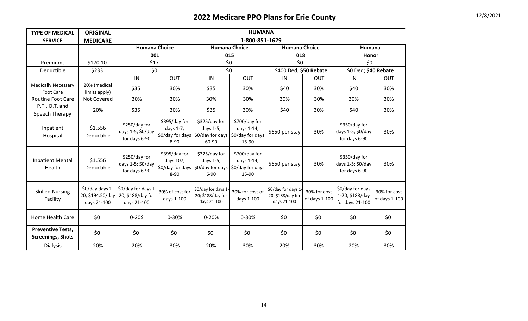| <b>TYPE OF MEDICAL</b>                               | <b>ORIGINAL</b>                                    | <b>HUMANA</b>                                          |                                        |                                                                            |                                                          |                                                        |                               |                                                        |                               |
|------------------------------------------------------|----------------------------------------------------|--------------------------------------------------------|----------------------------------------|----------------------------------------------------------------------------|----------------------------------------------------------|--------------------------------------------------------|-------------------------------|--------------------------------------------------------|-------------------------------|
| <b>SERVICE</b>                                       | <b>MEDICARE</b>                                    | 1-800-851-1629                                         |                                        |                                                                            |                                                          |                                                        |                               |                                                        |                               |
|                                                      |                                                    | <b>Humana Choice</b>                                   |                                        | <b>Humana Choice</b>                                                       |                                                          | <b>Humana Choice</b>                                   |                               | Humana                                                 |                               |
|                                                      |                                                    | 001                                                    |                                        |                                                                            | 015                                                      | 018                                                    |                               | Honor                                                  |                               |
| Premiums                                             | \$170.10                                           | \$17                                                   |                                        | \$0                                                                        |                                                          | \$0                                                    |                               | \$0                                                    |                               |
| Deductible                                           | \$233                                              | \$0                                                    |                                        | \$0                                                                        |                                                          | \$400 Ded; \$50 Rebate                                 |                               | \$0 Ded; \$40 Rebate                                   |                               |
|                                                      |                                                    | IN                                                     | OUT                                    | IN                                                                         | OUT                                                      | IN                                                     | OUT                           | IN                                                     | OUT                           |
| <b>Medically Necessary</b><br>Foot Care              | 20% (medical<br>limits apply)                      | \$35                                                   | 30%                                    | \$35                                                                       | 30%                                                      | \$40                                                   | 30%                           | \$40                                                   | 30%                           |
| Routine Foot Care                                    | Not Covered                                        | 30%                                                    | 30%                                    | 30%                                                                        | 30%                                                      | 30%                                                    | 30%                           | 30%                                                    | 30%                           |
| P.T., O.T. and<br>Speech Therapy                     | 20%                                                | \$35                                                   | 30%                                    | \$35                                                                       | 30%                                                      | \$40                                                   | 30%                           | \$40                                                   | 30%                           |
| Inpatient<br>Hospital                                | \$1,556<br>Deductible                              | \$250/day for<br>days 1-5; \$0/day<br>for days 6-90    | \$395/day for<br>days 1-7;<br>$8 - 90$ | \$325/day for<br>days 1-5;<br>\$0/day for days S0/day for days<br>60-90    | \$700/day for<br>days 1-14;<br>\$0/day for days<br>15-90 | \$650 per stay                                         | 30%                           | \$350/day for<br>days 1-5; \$0/day<br>for days 6-90    | 30%                           |
| <b>Inpatient Mental</b><br>Health                    | \$1,556<br>Deductible                              | \$250/day for<br>days 1-5; \$0/day<br>for days 6-90    | \$395/day for<br>days 107;<br>8-90     | \$325/day for<br>days 1-5;<br>\$0/day for days S0/day for days<br>$6 - 90$ | \$700/day for<br>days 1-14;<br>\$0/day for days<br>15-90 | \$650 per stay                                         | 30%                           | \$350/day for<br>days 1-5; \$0/day<br>for days 6-90    | 30%                           |
| <b>Skilled Nursing</b><br>Facility                   | \$0/day days 1-<br>20; \$194.50/day<br>days 21-100 | \$0/day for days 1<br>20; \$188/day for<br>days 21-100 | 30% of cost for<br>days 1-100          | \$0/day for days 1.<br>20; \$188/day for<br>days 21-100                    | 30% for cost of<br>days 1-100                            | \$0/day for days 1<br>20; \$188/day for<br>days 21-100 | 30% for cost<br>of days 1-100 | \$0/day for days<br>1-20; \$188/day<br>for days 21-100 | 30% for cost<br>of days 1-100 |
| Home Health Care                                     | \$0                                                | $0 - 205$                                              | 0-30%                                  | $0 - 20%$                                                                  | 0-30%                                                    | \$0                                                    | \$0                           | \$0                                                    | \$0                           |
| <b>Preventive Tests,</b><br><b>Screenings, Shots</b> | \$0                                                | \$0                                                    | \$0                                    | \$0                                                                        | \$0                                                      | \$0                                                    | \$0                           | \$0                                                    | \$0                           |
| <b>Dialysis</b>                                      | 20%                                                | 20%                                                    | 30%                                    | 20%                                                                        | 30%                                                      | 20%                                                    | 30%                           | 20%                                                    | 30%                           |